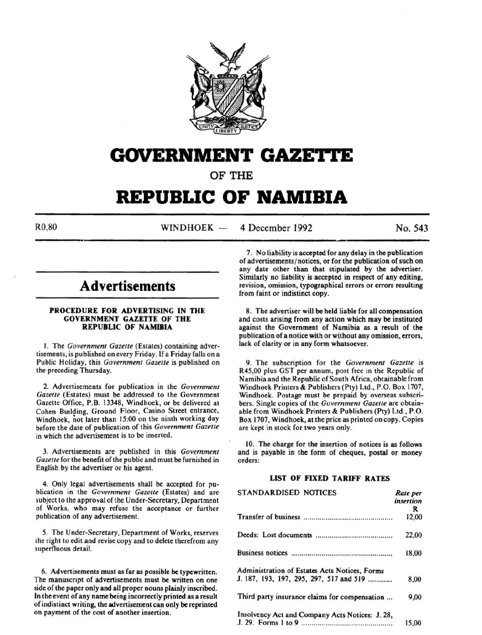

## **GOVERNMENT GAZETTE**

OF THE

# **REPUBLIC OF NAMIBIA**

R0,80 WINDHOEK --4 December 1992 No. 543

## **Advertisements**

#### PROCEDURE FOR ADVERTISING IN THE GOVERNMENT GAZETTE OF THE REPUBLIC OF NAMIBIA

I. The *Government Gazette* (Estates) containing advertisements, is published on every Friday. If a Friday falls on a Public Holiday, this *Government Gazette* is published on the preceding Thursday.

2. Advertisements for publication in the *Government Gazette* (Estates) must be addressed to the Government Gazette Office, P.B. 13348, Windhoek, or be delivered at Cohen Building, Ground Floor, Casino Street entrance, Windhoek, not later than 15:00 on the ninth working day before the date of publication of this *Government Gazette*  in which the advertisement is to be inserted.

3. Advertisements are published in this *Government Gazette* for the benefit ofthe public and must be furnished in English by the advertiser or his agent.

4. Only legal advertisements shall be accepted for publication in the *Government Gazette* (Estates) and are subject to the approval of the Under-Secretary, Department of Works, who may refuse the acceptance or further publication of any advertisement.

*5.* The Under-Secretary, Department of Works, reserves the right to edit and revise copy and to delete therefrom any superfluous detail.

6. Advertisements must as far as possible be typewritten. The manuscnpt of advertisements must be written on one side of the paper only and all proper nouns plainly inscribed. In the event of any name being incorrectly printed as a result of indistinct writing, the advertisement can only be reprinted on payment of the cost of another insertion.

7. No liability is accepted for any delay in the publication of advertisements/ notices, or for the publication of such on any date other than that stipulated by the advertiser. Similarly no liability is accepted in respect of any editing, revision, omission, typographical errors or errors resulting from faint or indistinct copy.

8. The advertiser will be held liable for all compensation and costs arising from any action which may be instituted against the Government of Namibia as a result of the publication of a notice with or without any omission, errors, lack of clarity or in any form whatsoever.

9. The subscription for the *Government Gazette* is R45,00 plus GST per annum, post free in the Republic of Namibia and the Republic of South Africa, obtainable from Windhoek Printers & Publishers (Pty) Ltd., P.O. Box 1707, Windhoek. Postage must be prepaid by overseas subscribers. Single copies of the *Government Gazette* are obtainable from Windhoek Printers & Publishers (Pty) Ltd., P.O. Box 1707, Windhoek, at the price as printed on copy. Copies are kept in stock for two years only.

10. The charge for the insertion of notices is as follows and is payable in the form of cheques, postal or money orders:

#### LIST OF FIXED TARIFF RATES

| <b>STANDARDISED NOTICES</b>                     | Rate per<br>insertion |
|-------------------------------------------------|-----------------------|
|                                                 | R                     |
|                                                 | 12,00                 |
|                                                 | 22,00                 |
|                                                 | 18,00                 |
| Administration of Estates Acts Notices, Forms   |                       |
| J. 187, 193, 197, 295, 297, 517 and 519         | 8,00                  |
| Third party insurance claims for compensation   | 9,00                  |
| Insolvency Act and Company Acts Notices: J. 28, | 15.00                 |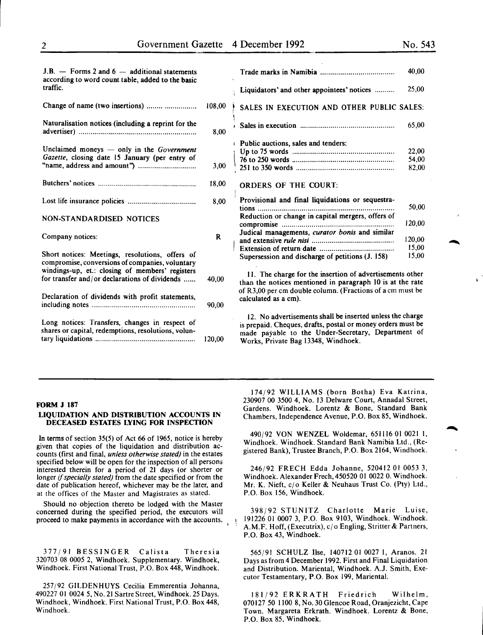| J.B. $-$ Forms 2 and $6 -$ additional statements<br>according to word count table, added to the basic |              |                                                                                                                                                                                                                       | 40,00  |
|-------------------------------------------------------------------------------------------------------|--------------|-----------------------------------------------------------------------------------------------------------------------------------------------------------------------------------------------------------------------|--------|
| traffic.                                                                                              |              | Liquidators' and other appointees' notices                                                                                                                                                                            | 25,00  |
| Change of name (two insertions)                                                                       | 108.00       | SALES IN EXECUTION AND OTHER PUBLIC SALES:                                                                                                                                                                            |        |
| Naturalisation notices (including a reprint for the                                                   | 8,00         |                                                                                                                                                                                                                       | 65,00  |
| Unclaimed moneys $-$ only in the <i>Government</i>                                                    |              | Public auctions, sales and tenders:                                                                                                                                                                                   | 22,00  |
| Gazette, closing date 15 January (per entry of                                                        |              |                                                                                                                                                                                                                       | 54,00  |
|                                                                                                       | 3,00         |                                                                                                                                                                                                                       | 82,00  |
|                                                                                                       | 18,00        | <b>ORDERS OF THE COURT:</b>                                                                                                                                                                                           |        |
|                                                                                                       | 8,00         | Provisional and final liquidations or sequestra-                                                                                                                                                                      | 50,00  |
| NON-STANDARDISED NOTICES                                                                              |              | Reduction or change in capital mergers, offers of                                                                                                                                                                     | 120,00 |
| Company notices:                                                                                      | $\mathbf{R}$ | Judical managements, curator bonis and similar                                                                                                                                                                        | 120,00 |
|                                                                                                       |              |                                                                                                                                                                                                                       | 15,00  |
| Short notices: Meetings, resolutions, offers of<br>compromise, conversions of companies, voluntary    |              | Supersession and discharge of petitions (J. 158)                                                                                                                                                                      | 15.00  |
| windings-up, et.: closing of members' registers<br>for transfer and/or declarations of dividends      | 40.00        | 11. The charge for the insertion of advertisements other<br>than the notices mentioned in paragraph 10 is at the rate<br>of R3,00 per cm double column. (Fractions of a cm must be<br>calculated as a cm).            |        |
| Declaration of dividends with profit statements,                                                      | 90,00        |                                                                                                                                                                                                                       |        |
| Long notices: Transfers, changes in respect of<br>shares or capital, redemptions, resolutions, volun- | 120,00       | 12. No advertisements shall be inserted unless the charge<br>is prepaid. Cheques, drafts, postal or money orders must be<br>made payable to the Under-Secretary, Department of<br>Works, Private Bag 13348, Windhoek. |        |
|                                                                                                       |              |                                                                                                                                                                                                                       |        |

#### FORM J 187

#### LIQUIDATION AND DISTRIBUTION ACCOUNTS IN DECEASED ESTATES LYING FOR INSPECTION

In terms of section 35(5) of Act 66 of 1965, notice is hereby given that copies of the liquidation and distribution accounts (first and final, *unless otherwise stated)* in the estates specified below will be open for the inspection of all persons interested therein for a period of 21 days (or shorter or longer if *specially stated)* from the date specified or from the date of publication hereof, whichever may be the later, and at the offices of the Master and Magistrates as stated.

Should no objection thereto be lodged with the Master concerned during the specified period, the executors will proceed to make payments in accordance with the accounts.

377/91 BESSINGER Calista Theresia 320703 08 *0005* 2, Windhoek. Supplementary. Windhoek, Windhoek. First National Trust, P.O. Box 448, Windhoek.

257/92 GILDENHUYS Cecilia Emmerentia Johanna, 490227 01 0024 5, No. 21 Sartre Street, Windhoek. 25 Days. Windhoek, Windhoek. First National Trust, P.O. Box 448, Windhoek.

174/92 WILLIAMS (born Botha) Eva Katrina, 230907 00 3500 4, No. 13 Delware Court, Annada) Street, Gardens. Windhoek. Lorentz & Bone, Standard Bank Chambers, Independence Avenue, P.O. Box 85, Windhoek.

490/92 VON WENZEL Waldemar, 651116 01 0021 I, Windhoek. Windhoek. Standard Bank Namibia Ltd., (Registered Bank), Trustee Branch, P.O. Box 2164, Windhoek.

246/92 FRECH Edda Johanne, 520412 01 0053 3, Windhoek. Alexander Frech, 450520 01 0022 0. Windhoek. Mr. K. Nieft, c/o Keller & Neuhaus Trust Co. (Pty) Ltd., P.O. Box 156, Windhoek.

398/92 STUNITZ Charlotte Marie Luise, 191226 01 0007 3, P.O. Box 9103, Windhoek. Windhoek. A.M.F. Hoff, (Executrix),  $c/\sigma$  Engling, Stritter & Partners, P.O. Box 43, Windhoek.

565/91 SCHULZ Ilse, 140712 01 0027 I, Aranos. 21 Days as from 4 December 1992. First and Final Liquidation and Distribution. Mariental, Windhoek. A.J. Smith, Executor Testamentary, P.O. Box 199, Mariental.

181/92 ERKRATH Friedrich Wilhelm, 070127 50 1100 8, No. 30 Glencoe Road, Oranjezicht, Cape Town. Margareta Erkrath. Windhoek. Lorentz & Bone, P.O. Box 85, Windhoek.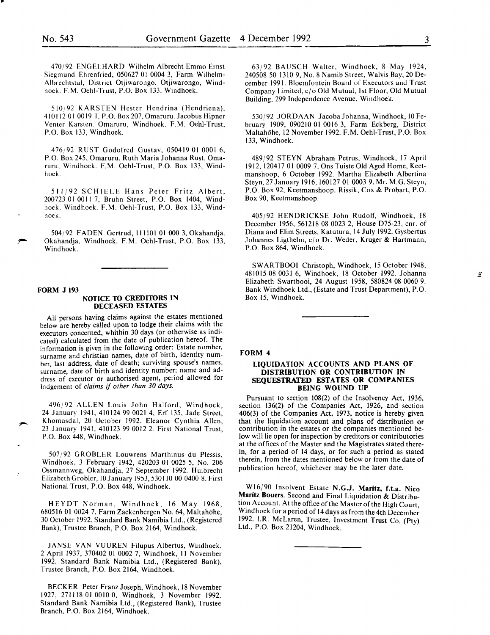..

470/92 ENGELHARD Wilhelm Albrecht Emmo Ernst Siegmund Ehrenfried, 050627 01 0004 3, Farm Wilhelm-Albrechtstal, District Otjiwarongo. Otjiwarongo, Windhoek. F.M. Oehl-Trust, P.O. Box 133, Windhoek.

510/92 KARSTEN Hester Hendrina (Hendriena), 410112010019 l,P.O.Box207,0maruru.JacobusHipner Venter Karsten. Omaruru, Windhoek. F.M. Oehl-Trust, P.O. Box 133, Windhoek.

476/92 RUST Godofred Gustav, 050419 01 0001 6, P.O. Box 245, Omaruru. Ruth Maria Johanna Rust. Omaruru, Windhoek. F.M. Oehi-Trust, P.O. Box 133, Windhoek.

511/92 SCHIELE Hans Peter Fritz Albert, 2007230100117, Bruhn Street, P.O. Box 1404, Windhoek. Windhoek. F.M. Oehl-Trust, P.O. Box 133, Windhoek.

504/92 FADEN Gertrud, II I 101 01 000 3, Okahandja. Okahandja, Windhoek. F.M. Oehl-Trust, P.O. Box 133, Windhoek.

#### FORM J 193

#### NOTICE TO CREDITORS IN DECEASED ESTATES

All persons having claims against the estates mentioned below are hereby called upon to lodge their claims with the executors concerned, whithin 30 days (or otherwise as indicated) calculated from the date of publication hereof. The information is given in the following order: Estate number, surname and christian names, date of birth, identity number, last address, date of death; surviving spouse's names, surname, date of birth and identity number; name and address of executor or authorised agent, period allowed for kdgement of *claims* if *other than 30 days.* 

496/92 ALLEN Louis John Halford, Windhoek, 24 January 1941, 410124 99 0021 4, Erf 135, Jade Street, Khomasdal, 20 October 1992. Eleanor Cynthia Allen, 23 January 1941, 410123 99 0012 2. First National Trust, P.O. Box 448, Windhoek.

507/92 GROBLER Louwrens Marthinus du Plessis, Windhoek, 3 February 1942, 420203 01 0025 5, No. 206 Ossmannweg, Okahandja, 27 September 1992. Huibrecht Elizabeth Grobler, 10 January 1953, 530110 00 0400 8. First National Trust, P.O. Box 448, Windhoek.

HEYDT Norman, Windhoek, 16 May 1968, 680516 01 0024 7, FarmZackenbergen No. 64, Maltahohe, 30 October 1992. Standard Bank Namibia Ltd., (Registered Bank), Trustee Branch, P.O. Box 2164, Windhoek.

JANSE VAN VUUREN Filupus Albertus, Windhoek, 2 April 1937, 370402 01 0002 7, Windhoek, II November 1992. Standard Bank Namibia Ltd., (Registered Bank), Trustee Branch, P.O. Box 2164, Windhoek.

BECKER Peter Franz Joseph, Windhoek, 18 November 1927, 271118 01 0010 0, Windhoek, 3 November 1992. Standard Bank Namibia Ltd., (Registered Bank), Trustee Branch, P.O. Box 2164, Windhoek.

63/92 BAUSCH Walter, Windhoek, 8 May 1924, 240508 50 1310 9, No.8 Namib Street, Walvis Bay, 20 December 1991. Bloemfontein Board of Executors and Trust Company Limited, cjo Old Mutual, 1st Floor, Old Mutual Building, 299 Independence Avenue, Windhoek.

530/92 JORDAAN Jacoba Johanna, Windhoek, 10 February 1909, 090210 01 0016 3, Farm Eckberg, District Maltahohe, 12 November 1992. F.M. Oehl-Trust, P.O. Box 133, Windhoek.

489/92 STEYN Abraham Petrus, Windhoek, 17 April 1912, 120417 01 0009 7, Ons Tuiste Old Aged Home, Keetmanshoop, 6 October 1992. Martha Elizabeth Albertina Steyn, 27 January 1916, 160127 01 0003 9. Mr. M.G. Steyn, P.O. Box 92, Keetmanshoop. Rissik, Cox & Probart, P.O. Box 90, Keetmanshoop.

405/92 HENDRICKSE John Rudolf, Windhoek, 18 December 1956, 561218 08 0023 2, House D75-23, cnr. of Diana and Elim Streets, Katutura, 14 July 1992. Gysbertus Johannes Ligthelm, cjo Dr. Weder, Kruger & Hartmann, P.O. Box 864, Windhoek.

SWARTBOOI Christoph, Windhoek, 15 October 1948, 481015 08 0031 6, Windhoek, 18 October 1992. Johanna Elizabeth Swartbooi, 24 August 1958, 580824 08 0060 9. Bank Windhoek Ltd., (Estate and Trust Department), P.O. Box 15, Windhoek.

#### FORM 4

#### LIQUIDATION ACCOUNTS AND PLANS OF DISTRIBUTION OR CONTRIBUTION IN SEQUESTRATED ESTATES OR COMPANIES BEING WOUND UP

Pursuant to section 108(2) of the Insolvency Act, 1936, section 136(2) of the Companies Act, 1926, and section 406(3) of the Companies Act, 1973, notice is hereby given that the liquidation account and plans of distribution or contribution in the estates or the companies mentioned below will lie open for inspection by creditors or contributories at the offices of the Master and the Magistrates stated therein, for a period of 14 days, or for such a period as stated therein, from the dates mentioned below or from the date of publication hereof, whichever may be the later date.

Wl6/90 Insolvent Estate N.G.J. Maritz, f.t.a. Nico Maritz Bouers. Second and Final Liquidation & Distribution Account. At the office of the Master of the High Court, Wmdhoek for a period of 14 days as from the 4th December 1992. I.R. McLaren, Trustee, Investment Trust Co. (Pty) Ltd., P.O. Box 21204, Windhoek.

 $\frac{1}{2}$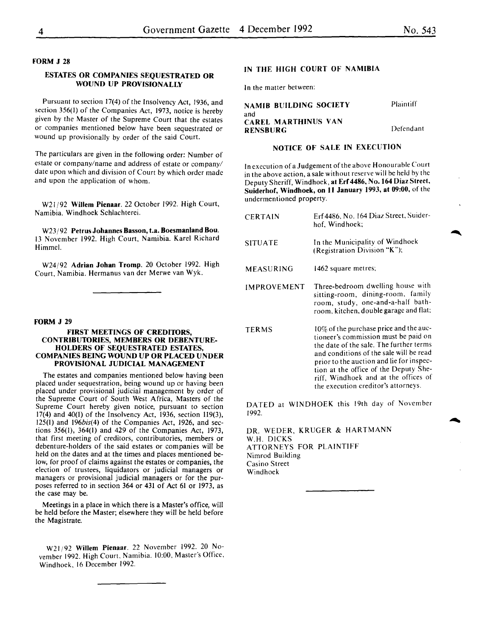#### FORM J 28

#### ESTATES OR COMPANIES SEQUESTRATED OR WOUND UP PROVISIONALLY

Pursuant to section 17(4) of the Insolvency Act, 1936, and section 356(1) of the Companies Act, 1973, notice is hereby given by the Master of the Supreme Court that the estates or companies mentioned below have been sequestrated or wound up provisionally by order of the said Court.

The particulars are given in the following order: Number of estate or company/name and address of estate or company/ date upon which and division of Court by which order made and upon the application of whom.

W21 /92 Willem Pienaar. 22 October 1992. High Court, Namibia. Windhoek Schlachterei.

W23/92 Petrus Johannes Basson, t.a. Boesmanland Bou. 13 November 1992. High Court, Namibia. Karel Richard Himmel.

W24/92 Adrian Johan Tromp. 20 October 1992. High Court, Namibia. Hermanus van der Merwe van Wyk.

#### FORM J 29

#### FIRST MEETINGS OF CREDITORS, CONTRIBUTORIES, MEMBERS OR DEBENTURE-HOLDERS OF SEQUESTRATED ESTATES, COMPANIES BEING WOUND UP OR PLACED UNDER PROVISIONAL JUDICIAL MANAGEMENT

The estates and companies mentioned below having been placed under sequestration, being wound up or having been placed under provisional judicial management by order of the Supreme Court of South West Africa, Masters of the Supreme Court hereby given notice, pursuant to section 17(4) and 40(1) of the Insolvency Act, 1936, section 119(3), 125(1) and 196bis(4) of the Companies Act, 1926, and sections 356(1), 364(1) and 429 of the Companies Act, 1973, that first meeting of creditors, contributories, members or debenture-holders of the said estates or companies will be held on the dates and at the times and places mentioned below, for proof of claims against the estates or companies, the election of trustees, liquidators or judicial managers or managers or provisional judicial managers or for the purposes referred to in section 364 or 431 of Act 61 or 1973, as the case may be.

Meetings in a place in which there is a Master's office, will be held before the Master; elsewhere they will be held before the Magistrate.

W21/92 Willem Pienaar. 22 November 1992. 20 November 1992. High Court, Namibia. 10:00, Master's Office, Windhoek, 16 December 1992.

#### IN THE HIGH COURT OF NAMIBIA

In the matter between:

| <b>NAMIB BUILDING SOCIETY</b>     | Plaintiff |
|-----------------------------------|-----------|
| and<br><b>CAREL MARTHINUS VAN</b> |           |
| <b>RENSBURG</b>                   | Defendant |

#### NOTICE OF SALE IN EXECUTION

In execution of a Judgement of the above Honourable Court in the above action, a sale without reserve will be held by the Deputy Sheriff, Windhoek, at Erf 4486, No. 164 Diaz Street, Suiderhof, Windhoek, on 11 January 1993, at 09:00, of the undermentioned property.

| <b>CERTAIN</b> | Erf 4486, No. 164 Diaz Street, Suider-<br>hof, Windhoek;                                                                                                                                                                                                                                          |
|----------------|---------------------------------------------------------------------------------------------------------------------------------------------------------------------------------------------------------------------------------------------------------------------------------------------------|
| <b>SITUATE</b> | In the Municipality of Windhoek<br>(Registration Division "K");                                                                                                                                                                                                                                   |
| MEASURING      | 1462 square metres;                                                                                                                                                                                                                                                                               |
| IMPROVEMENT    | Three-bedroom dwelling house with<br>sitting-room, dining-room, family<br>room, study, one-and-a-half bath-<br>room, kitchen, double garage and flat;                                                                                                                                             |
| <b>TERMS</b>   | 10% of the purchase price and the auc-<br>tioneer's commission must be paid on<br>the date of the sale. The further terms<br>and conditions of the sale will be read<br>prior to the auction and lie for inspec-<br>tion at the office of the Deputy She-<br>riff, Windhoek and at the offices of |

DATED at WINDHOEK this 19th day of November 1992.

the execution creditor's attorneys.

DR. WEDER, KRUGER & HARTMANN W.H. DICKS ATTORNEYS FOR PLAINTIFF Nimrod Building Casino Street Windhoek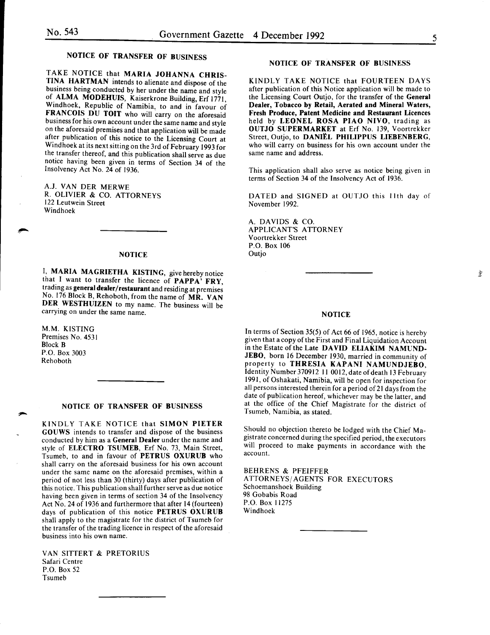夔

### NOTICE OF TRANSFER OF BUSINESS

TAKE NOTICE that MARIA JOHANNA CHRIS-TINA HARTMAN intends to alienate and dispose of the business being conducted by her under the name and style of ALMA MODEHUIS, Kaiserkrone Building, Erf 1771, Wmdhoek, Republic of Namibia, to and in favour of FRANCOIS DU TOIT who will carry on the aforesaid business for his own account under the same name and style on the aforesaid premises and that application will be made after publication of this notice to the Licensing Court at Windhoek at its next sitting on the 3rd of February 1993 for the transfer thereof, and this publication shall serve as due notice having been given in terms of Section 34 of the Insolvency Act No. 24 of 1936.

A.J. VAN DER MERWE R. OLIVIER & CO. ATTORNEYS 122 Leutwein Street Windhoek

#### **NOTICE**

I, MARIA MAGRIETHA KISTING, give hereby notice that I want to transfer the licence of PAPPA<sup>5</sup> FRY. trading as general dealer/restaurant and residing at premises No. 176 Block B, Rehoboth, from the name of MR. VAN DER WESTHUIZEN to my name. The business will be carrying on under the same name.

M.M. KISTING Premises No. 4531 Block B P.O. Box 3003 Rehoboth

#### NOTICE OF TRANSFER OF BUSINESS

KINDLY TAKE NOTICE that SIMON PIETER GOUWS intends to transfer and dispose of the business conducted by him as a General Dealer under the name and style of ELECTRO TSUMEB, Erf No. 73, Main Street, Tsumeb, to and in favour of PETRUS OXURUB who shall carry on the aforesaid business for his own account under the same name on the aforesaid premises, within a period of not less than 30 (thirty) days after publication of this notice. This publication shall further serve as due notice having been given in terms of section 34 of the Insolvency Act No. 24 of 1936 and furthermore that after 14 (fourteen) days of publication of this notice PETRUS OXURUB shall apply to the magistrate for the district of Tsumeb for the transfer of the trading licence in respect of the aforesaid business into his own name.

VAN SlTTERT & PRETORIUS Safari Centre P.O. Box 52 Tsumeb

#### NOTICE OF TRANSFER OF BUSINESS

KINDLY TAKE NOTICE that FOURTEEN DAYS after publication of this Notice application will be made to the Licensing Court Outjo, for the transfer of the General Dealer, Tobacco by Retail, Aerated and Mineral Waters, Fresh Produce, Patent Medicine and Restaurant Licences held by LEONEL ROSA PIAO NIVO, trading as OUTJO SUPERMARKET at Erf No. 139, Voortrekker Street, Outjo, to DANIEL PHILIPPUS LIEBENBERG, who will carry on business for his own account under the same name and address.

This application shall also serve as notice being given in terms of Section 34 of the Insolvency Act of 1936.

DATED and SIGNED at OUTJO this 11th day of November 1992.

A. DAVIDS & CO. APPLICANT'S ATTORNEY Voortrekker Street P.O. Box 106 **Outio** 

#### NOTICE

In terms of Section  $35(5)$  of Act 66 of 1965, notice is hereby given that a copy of the First and Final Liquidation Account in the Estate of the Late DAVID ELlA KIM NAMUND-JEBO, born 16 December 1930, married in community of property to THRESIA KAPANI NAMUNDJEBO, Identity Number 370912 11 0012, date of death 13 February 1991, of Oshakati, Namibia, will be open for inspection for all persons interested therein for a period of21 days from the date of publication hereof, whichever may be the latter, and at the office of the Chief Magistrate for the district of Tsumeb, Namibia, as stated.

Should no objection thereto be lodged with the Chief Magistrate concerned during the specified period, the executors will proceed to make payments in accordance with the account.

BEHRENS & PFEIFFER ATTORNEYS/ AGENTS FOR EXECUTORS Schoemanshoek Building 98 Gobabis Road P.O. Box 11275 Windhoek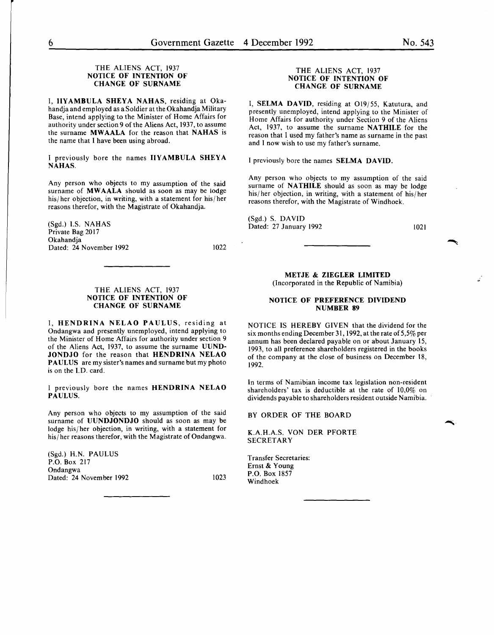#### THE ALIENS ACT, 1937 NOTICE OF INTENTION OF CHANGE OF SURNAME

I, IIYAMBULA SHEYA NAHAS, residing at Okahandja and employed as a Soldier at the Okahandja Military Base, intend applying to the Minister of Home Affairs for authority under section 9 of the Aliens Act, 1937, to assume the surname MWAALA for the reason that NAHAS is the name that I have been using abroad.

I previously bore the names IIYAMBULA SHEYA NAHAS.

Any person who objects to my assumption of the said surname of MWAALA should as soon as may be lodge his/ her objection, in writing, with a statement for his/ her reasons therefor, with the Magistrate of Okahandja.

(Sgd.) I.S. NAHAS Private Bag 2017 Okahandja Dated: 24 November 1992

1022

#### THE ALIENS ACT, 1937 NOTICE OF INTENTION OF CHANGE OF SURNAME

I, HENDRINA NELAO PAULUS, residing at Ondangwa and presently unemployed, intend applying to the Minister of Home Affairs for authority under section 9 of the Aliens Act, 1937, to assume the surname UUND-JONDJO for the reason that HENDRINA NELAO PAULUS are my sister's names and surname but my photo is on the I.D. card.

I previously bore the names HENDRINA NELAO PAULUS.

Any person who objects to my assumption of the said surname of UUNDJONDJO should as soon as may be lodge his/ her objection, in writing, with a statement for his/her reasons therefor, with the Magistrate of Ondangwa.

(Sgd.) H.N. PAULUS P.O. Box 217 Ondangwa Dated: 24 November 1992 1023

#### THE ALIENS ACT, 1937 NOTICE OF INTENTION OF CHANGE OF SURNAME

I, SELMA DAVID, residing at 019/55, Katutura, and presently unemployed, intend applying to the Minister of Home Affairs for authority under Section 9 of the Aliens Act, 1937, to assume the surname NATHILE for the reason that I used my father's name as surname in the past and I now wish to use my father's surname.

I previously bore the names SELMA DAVID.

Any person who objects to my assumption of the said surname of **NATHILE** should as soon as may be lodge his/her objection, in writing, with a statement of his/her reasons therefor, with the Magistrate of Windhoek.

(Sgd.) S. DAVID Dated: 27 January 1992

1021

#### METJE & ZIEGLER LIMITED (Incorporated in the Republic of Namibia)

#### NOTICE OF PREFERENCE DIVIDEND NUMBER 89

NOTICE IS HEREBY GIVEN that the dividend for the six months ending December 31, 1992, at the rate of 5,5% per annum has been declared payable on or about January 15, 1993, to all preference shareholders registered in the books of the company at the close of business on December 18, 1992.

In terms of Namibian income tax legislation non-resident shareholders' tax is deductible at the rate of 10,0% on dividends payable to shareholders resident outside Namibia.

BY ORDER OF THE BOARD

K.A.H.A.S. VON DER PFORTE SECRETARY

Transfer Secretaries: Ernst & Young P.O. Box 1857 Windhoek